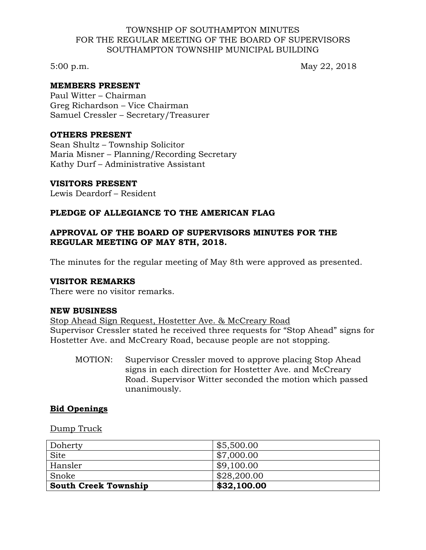### TOWNSHIP OF SOUTHAMPTON MINUTES FOR THE REGULAR MEETING OF THE BOARD OF SUPERVISORS SOUTHAMPTON TOWNSHIP MUNICIPAL BUILDING

5:00 p.m. May 22, 2018

### **MEMBERS PRESENT**

Paul Witter – Chairman Greg Richardson – Vice Chairman Samuel Cressler – Secretary/Treasurer

### **OTHERS PRESENT**

Sean Shultz – Township Solicitor Maria Misner – Planning/Recording Secretary Kathy Durf – Administrative Assistant

#### **VISITORS PRESENT**

Lewis Deardorf – Resident

# **PLEDGE OF ALLEGIANCE TO THE AMERICAN FLAG**

# **APPROVAL OF THE BOARD OF SUPERVISORS MINUTES FOR THE REGULAR MEETING OF MAY 8TH, 2018.**

The minutes for the regular meeting of May 8th were approved as presented.

#### **VISITOR REMARKS**

There were no visitor remarks.

#### **NEW BUSINESS**

Stop Ahead Sign Request, Hostetter Ave. & McCreary Road Supervisor Cressler stated he received three requests for "Stop Ahead" signs for Hostetter Ave. and McCreary Road, because people are not stopping.

MOTION: Supervisor Cressler moved to approve placing Stop Ahead signs in each direction for Hostetter Ave. and McCreary Road. Supervisor Witter seconded the motion which passed unanimously.

#### **Bid Openings**

Dump Truck

| Doherty                     | \$5,500.00  |
|-----------------------------|-------------|
| Site                        | \$7,000.00  |
| Hansler                     | \$9,100.00  |
| Snoke                       | \$28,200.00 |
| <b>South Creek Township</b> | \$32,100.00 |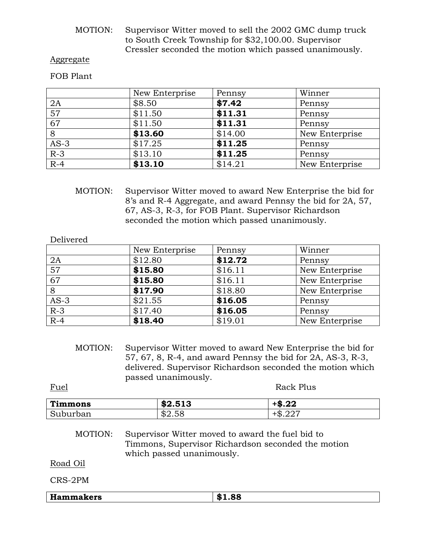# MOTION: Supervisor Witter moved to sell the 2002 GMC dump truck to South Creek Township for \$32,100.00. Supervisor Cressler seconded the motion which passed unanimously.

# Aggregate

FOB Plant

|                 | New Enterprise | Pennsy  | Winner         |
|-----------------|----------------|---------|----------------|
| 2A              | \$8.50         | \$7.42  | Pennsy         |
| $\overline{57}$ | \$11.50        | \$11.31 | Pennsy         |
| 67              | \$11.50        | \$11.31 | Pennsy         |
| 8               | \$13.60        | \$14.00 | New Enterprise |
| $AS-3$          | \$17.25        | \$11.25 | Pennsy         |
| $R-3$           | \$13.10        | \$11.25 | Pennsy         |
| $R-4$           | \$13.10        | \$14.21 | New Enterprise |

MOTION: Supervisor Witter moved to award New Enterprise the bid for 8's and R-4 Aggregate, and award Pennsy the bid for 2A, 57, 67, AS-3, R-3, for FOB Plant. Supervisor Richardson seconded the motion which passed unanimously.

| Delivered       |                |         |                |
|-----------------|----------------|---------|----------------|
|                 | New Enterprise | Pennsy  | Winner         |
| 2A              | \$12.80        | \$12.72 | Pennsy         |
| 57              | \$15.80        | \$16.11 | New Enterprise |
| $\overline{67}$ | \$15.80        | \$16.11 | New Enterprise |
| 8               | \$17.90        | \$18.80 | New Enterprise |
| $AS-3$          | \$21.55        | \$16.05 | Pennsy         |
| $R-3$           | \$17.40        | \$16.05 | Pennsy         |
| $R-4$           | \$18.40        | \$19.01 | New Enterprise |

| MOTION: | Supervisor Witter moved to award New Enterprise the bid for |
|---------|-------------------------------------------------------------|
|         | 57, 67, 8, R-4, and award Pennsy the bid for 2A, AS-3, R-3, |
|         | delivered. Supervisor Richardson seconded the motion which  |
|         | passed unanimously.                                         |

Fuel Rack Plus

| <b>Timmons</b> | \$2.513 | ററ<br>$\mathbf{m}$<br>「ゆ.∠∠    |
|----------------|---------|--------------------------------|
| Suburban       | \$2.58  | ∩∩≂<br>$\mathbf{C}$<br>™ ∿ .∠∠ |

| MOTION: | Supervisor Witter moved to award the fuel bid to   |
|---------|----------------------------------------------------|
|         | Timmons, Supervisor Richardson seconded the motion |
|         | which passed unanimously.                          |

Road Oil

CRS-2PM

| -тт.<br>ammakers<br>паг<br>____ | œ<br>ъ. |
|---------------------------------|---------|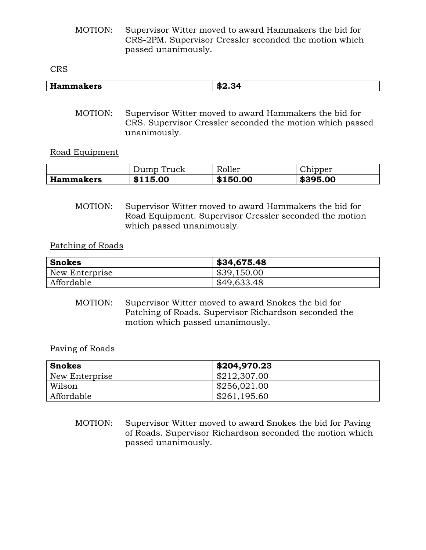MOTION: Supervisor Witter moved to award Hammakers the bid for CRS-2PM. Supervisor Cressler seconded the motion which passed unanimously.

CRS

| .<br>œ<br>50<br>. | <b>Hammakers</b> | $\cdots$ |
|-------------------|------------------|----------|
|-------------------|------------------|----------|

MOTION: Supervisor Witter moved to award Hammakers the bid for CRS. Supervisor Cressler seconded the motion which passed unanimously.

Road Equipment

|                  | Truck<br>Dump | Roller   | Chipper  |
|------------------|---------------|----------|----------|
| <b>Hammakers</b> | \$115.00      | \$150.00 | \$395.00 |

MOTION: Supervisor Witter moved to award Hammakers the bid for Road Equipment. Supervisor Cressler seconded the motion which passed unanimously.

Patching of Roads

| <b>Snokes</b>  | \$34,675.48 |
|----------------|-------------|
| New Enterprise | \$39,150.00 |
| Affordable     | \$49,633.48 |

MOTION: Supervisor Witter moved to award Snokes the bid for Patching of Roads. Supervisor Richardson seconded the motion which passed unanimously.

Paving of Roads

| <b>Snokes</b>  | \$204,970.23 |
|----------------|--------------|
| New Enterprise | \$212,307.00 |
| Wilson         | \$256,021.00 |
| Affordable     | \$261,195.60 |

MOTION: Supervisor Witter moved to award Snokes the bid for Paving of Roads. Supervisor Richardson seconded the motion which passed unanimously.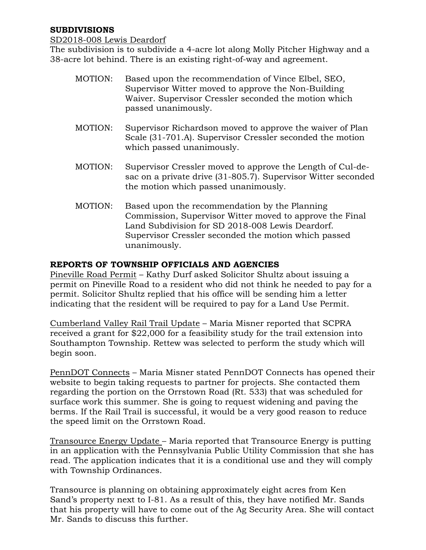# **SUBDIVISIONS**

### SD2018-008 Lewis Deardorf

The subdivision is to subdivide a 4-acre lot along Molly Pitcher Highway and a 38-acre lot behind. There is an existing right-of-way and agreement.

- MOTION: Based upon the recommendation of Vince Elbel, SEO, Supervisor Witter moved to approve the Non-Building Waiver. Supervisor Cressler seconded the motion which passed unanimously.
- MOTION: Supervisor Richardson moved to approve the waiver of Plan Scale (31-701.A). Supervisor Cressler seconded the motion which passed unanimously.
- MOTION: Supervisor Cressler moved to approve the Length of Cul-desac on a private drive (31-805.7). Supervisor Witter seconded the motion which passed unanimously.
- MOTION: Based upon the recommendation by the Planning Commission, Supervisor Witter moved to approve the Final Land Subdivision for SD 2018-008 Lewis Deardorf. Supervisor Cressler seconded the motion which passed unanimously.

# **REPORTS OF TOWNSHIP OFFICIALS AND AGENCIES**

Pineville Road Permit – Kathy Durf asked Solicitor Shultz about issuing a permit on Pineville Road to a resident who did not think he needed to pay for a permit. Solicitor Shultz replied that his office will be sending him a letter indicating that the resident will be required to pay for a Land Use Permit.

Cumberland Valley Rail Trail Update – Maria Misner reported that SCPRA received a grant for \$22,000 for a feasibility study for the trail extension into Southampton Township. Rettew was selected to perform the study which will begin soon.

PennDOT Connects – Maria Misner stated PennDOT Connects has opened their website to begin taking requests to partner for projects. She contacted them regarding the portion on the Orrstown Road (Rt. 533) that was scheduled for surface work this summer. She is going to request widening and paving the berms. If the Rail Trail is successful, it would be a very good reason to reduce the speed limit on the Orrstown Road.

Transource Energy Update – Maria reported that Transource Energy is putting in an application with the Pennsylvania Public Utility Commission that she has read. The application indicates that it is a conditional use and they will comply with Township Ordinances.

Transource is planning on obtaining approximately eight acres from Ken Sand's property next to I-81. As a result of this, they have notified Mr. Sands that his property will have to come out of the Ag Security Area. She will contact Mr. Sands to discuss this further.